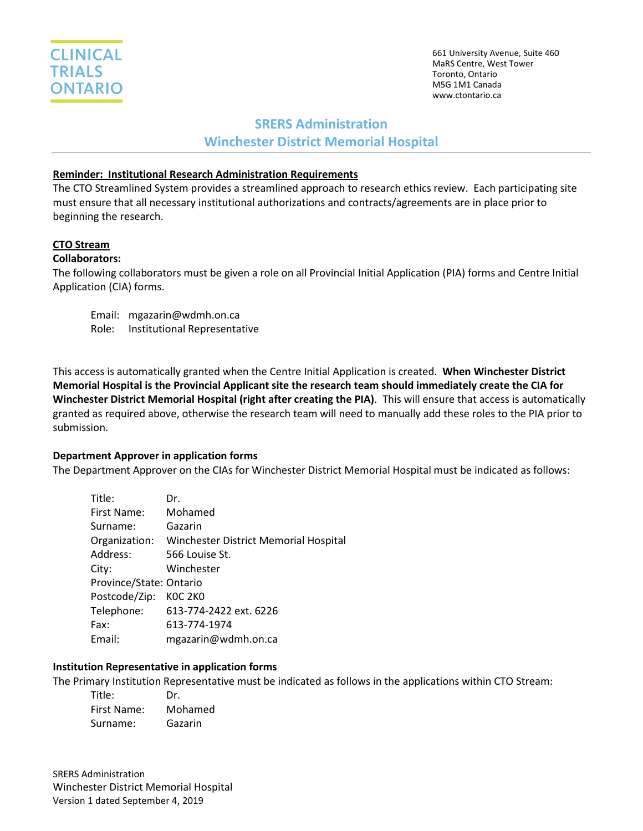

661 University Avenue, Suite 460 MaRS Centre, West Tower Toronto, Ontario M5G 1M1 Canada www.ctontario.ca

## **SRERS Administration**

### **Winchester District Memorial Hospital**

### **Reminder: Institutional Research Administration Requirements**

The CTO Streamlined System provides a streamlined approach to research ethics review. Each participating site must ensure that all necessary institutional authorizations and contracts/agreements are in place prior to beginning the research.

# **CTO Stream**

## **Collaborators:**

The following collaborators must be given a role on all Provincial Initial Application (PIA) forms and Centre Initial Application (CIA) forms.

Email: mgazarin@wdmh.on.ca Role: Institutional Representative

This access is automatically granted when the Centre Initial Application is created. **When Winchester District Memorial Hospital is the Provincial Applicant site the research team should immediately create the CIA for Winchester District Memorial Hospital (right after creating the PIA)**. This will ensure that access is automatically granted as required above, otherwise the research team will need to manually add these roles to the PIA prior to submission.

### **Department Approver in application forms**

The Department Approver on the CIAs for Winchester District Memorial Hospital must be indicated as follows:

| Title:                  | Dr.                                   |
|-------------------------|---------------------------------------|
| First Name:             | Mohamed                               |
| Surname:                | Gazarin                               |
| Organization:           | Winchester District Memorial Hospital |
| Address:                | 566 Louise St.                        |
| City:                   | Winchester                            |
| Province/State: Ontario |                                       |
| Postcode/Zip:           | KOC 2KO                               |
| Telephone:              | 613-774-2422 ext. 6226                |
| Fax:                    | 613-774-1974                          |
| Email:                  | mgazarin@wdmh.on.ca                   |

### **Institution Representative in application forms**

The Primary Institution Representative must be indicated as follows in the applications within CTO Stream:

| Title:      | Dr.     |
|-------------|---------|
| First Name: | Mohamed |
| Surname:    | Gazarin |

SRERS Administration Winchester District Memorial Hospital Version 1 dated September 4, 2019